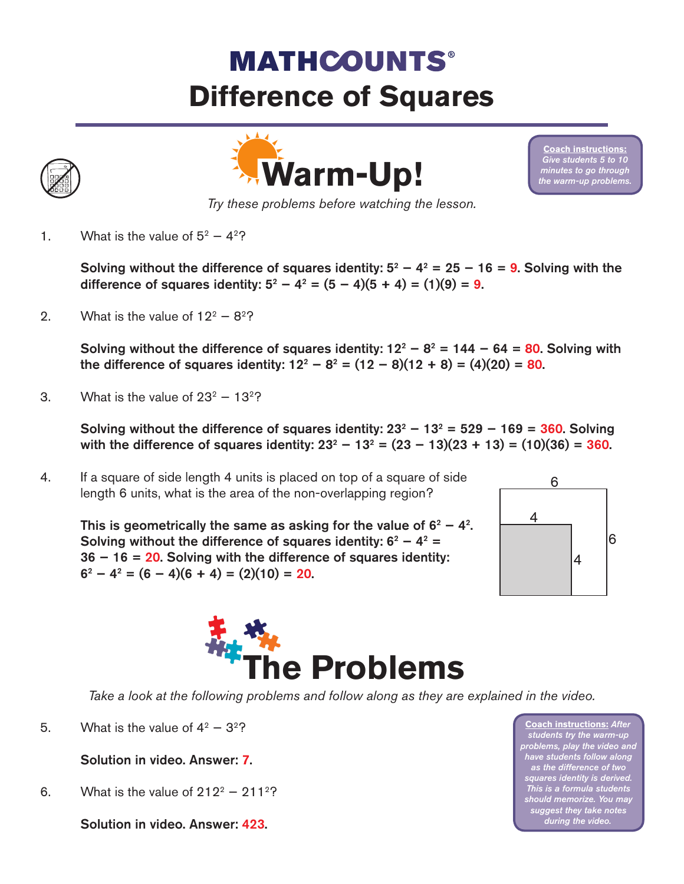## **MATHCOUNTS® Difference of Squares**



**Coach instructions:** *Give students 5 to 10 minutes to go through the warm-up problems.* 

*Try these problems before watching the lesson.*

1. What is the value of  $5^2 - 4^2$ ?

Solving without the difference of squares identity:  $5^2 - 4^2 = 25 - 16 = 9$ . Solving with the difference of squares identity:  $5^2 - 4^2 = (5 - 4)(5 + 4) = (1)(9) = 9$ .

2. What is the value of  $12^2 - 8^2$ ?

Solving without the difference of squares identity:  $12^2 - 8^2 = 144 - 64 = 80$ . Solving with the difference of squares identity:  $12^2 - 8^2 = (12 - 8)(12 + 8) = (4)(20) = 80$ .

3. What is the value of  $23^2 - 13^2$ ?

Solving without the difference of squares identity:  $23^2 - 13^2 = 529 - 169 = 360$ . Solving with the difference of squares identity:  $23^2 - 13^2 = (23 - 13)(23 + 13) = (10)(36) = 360$ .

4. If a square of side length 4 units is placed on top of a square of side length 6 units, what is the area of the non-overlapping region?

This is geometrically the same as asking for the value of  $6^2 - 4^2$ . Solving without the difference of squares identity:  $6^2 - 4^2 =$ 36 − 16 = 20. Solving with the difference of squares identity:  $6^2 - 4^2 = (6 - 4)(6 + 4) = (2)(10) = 20.$ 





*Take a look at the following problems and follow along as they are explained in the video.*

5. What is the value of  $4^2 - 3^2$ ?

## Solution in video. Answer: 7.

6. What is the value of  $212^2 - 211^2$ ?

Solution in video. Answer: 423.

**Coach instructions:** *After students try the warm-up problems, play the video and have students follow along as the difference of two squares identity is derived. This is a formula students should memorize. You may suggest they take notes during the video.*

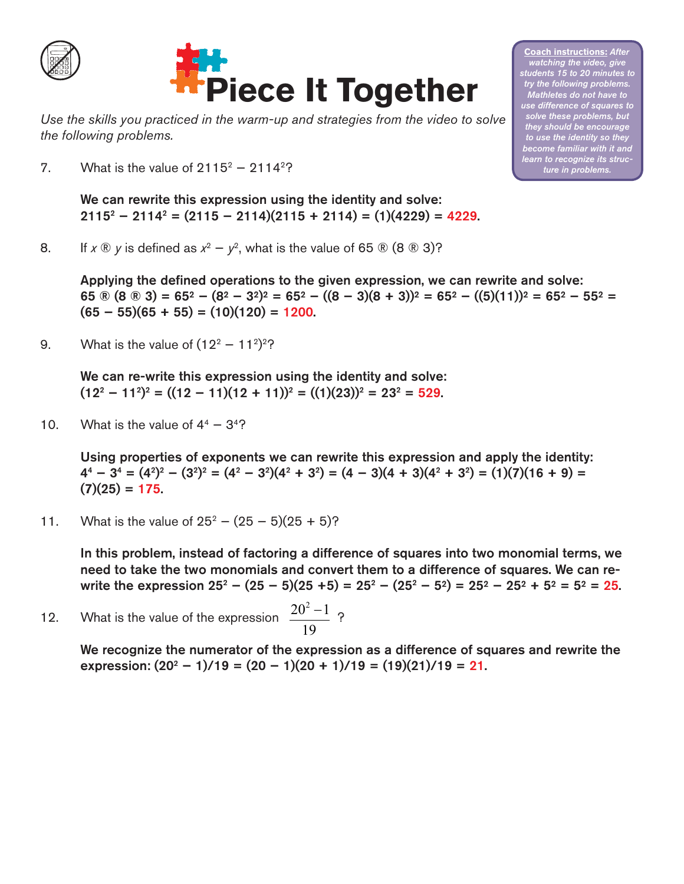



*Use the skills you practiced in the warm-up and strategies from the video to solve the following problems.*

7. What is the value of  $2115^2 - 2114^2$ ?

We can rewrite this expression using the identity and solve: 21152 − 21142 = (2115 − 2114)(2115 + 2114) = (1)(4229) = 4229.

8. If  $x \otimes y$  is defined as  $x^2 - y^2$ , what is the value of 65  $\otimes$  (8  $\otimes$  3)?

Applying the defined operations to the given expression, we can rewrite and solve: 65 ® (8 ® 3) = 65<sup>2</sup> – (8<sup>2</sup> – 3<sup>2</sup>)<sup>2</sup> = 65<sup>2</sup> – ((8 – 3)(8 + 3))<sup>2</sup> = 65<sup>2</sup> – ((5)(11))<sup>2</sup> = 65<sup>2</sup> – 55<sup>2</sup> =  $(65 - 55)(65 + 55) = (10)(120) = 1200.$ 

9. What is the value of  $(12^2 - 11^2)^2$ ?

We can re-write this expression using the identity and solve:  $(12^2 - 11^2)^2 = ((12 - 11)(12 + 11))^2 = ((1)(23))^2 = 23^2 = 529.$ 

10. What is the value of  $4^4 - 3^4$ ?

Using properties of exponents we can rewrite this expression and apply the identity:  $4^4 - 3^4 = (4^2)^2 - (3^2)^2 = (4^2 - 3^2)(4^2 + 3^2) = (4 - 3)(4 + 3)(4^2 + 3^2) = (1)(7)(16 + 9) =$  $(7)(25) = 175.$ 

11. What is the value of  $25^2 - (25 - 5)(25 + 5)$ ?

In this problem, instead of factoring a difference of squares into two monomial terms, we need to take the two monomials and convert them to a difference of squares. We can rewrite the expression  $25^2 - (25 - 5)(25 + 5) = 25^2 - (25^2 - 5^2) = 25^2 - 25^2 + 5^2 = 5^2 = 25$ .

12. What is the value of the expression  $\frac{20^2 - 1}{2}$  ? 19 −

> We recognize the numerator of the expression as a difference of squares and rewrite the expression:  $(20^2 - 1)/19 = (20 - 1)(20 + 1)/19 = (19)(21)/19 = 21$ .

**Coach instructions:** *After watching the video, give students 15 to 20 minutes to try the following problems. Mathletes do not have to use difference of squares to solve these problems, but they should be encourage to use the identity so they become familiar with it and learn to recognize its structure in problems.*